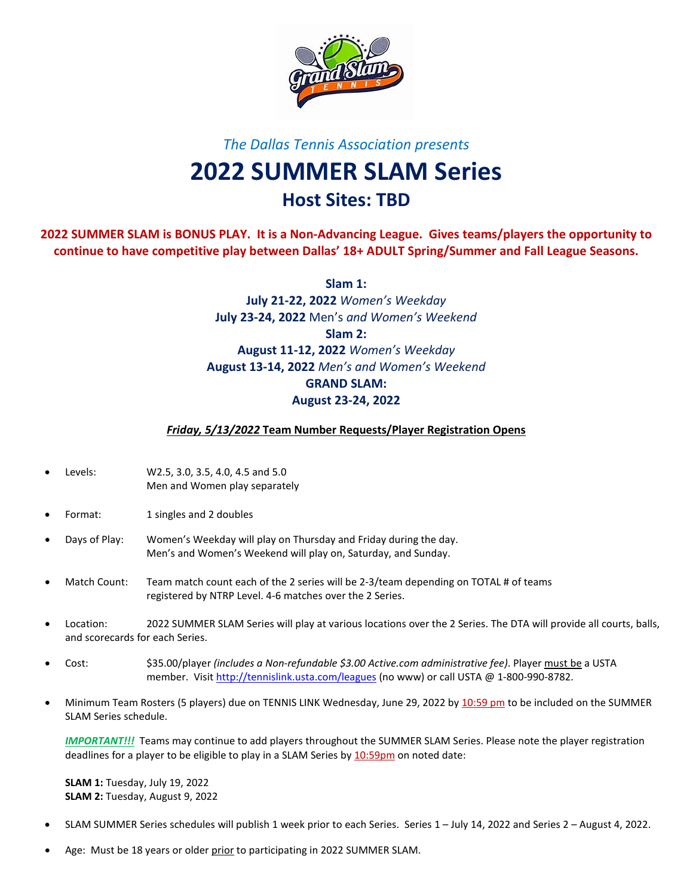

## *The Dallas Tennis Association presents*

## **2022 SUMMER SLAM Series Host Sites: TBD**

**2022 SUMMER SLAM is BONUS PLAY. It is a Non-Advancing League. Gives teams/players the opportunity to continue to have competitive play between Dallas' 18+ ADULT Spring/Summer and Fall League Seasons.**

> **Slam 1: July 21-22, 2022** *Women's Weekday* **July 23-24, 2022** Men's *and Women's Weekend* **Slam 2: August 11-12, 2022** *Women's Weekday* **August 13-14, 2022** *Men's and Women's Weekend* **GRAND SLAM: August 23-24, 2022**

*Friday, 5/13/2022* **Team Number Requests/Player Registration Opens**

- Levels: W2.5, 3.0, 3.5, 4.0, 4.5 and 5.0 Men and Women play separately
- Format: 1 singles and 2 doubles
- Days of Play: Women's Weekday will play on Thursday and Friday during the day. Men's and Women's Weekend will play on, Saturday, and Sunday.
- Match Count: Team match count each of the 2 series will be 2-3/team depending on TOTAL # of teams registered by NTRP Level. 4-6 matches over the 2 Series.
- Location: 2022 SUMMER SLAM Series will play at various locations over the 2 Series. The DTA will provide all courts, balls, and scorecards for each Series.
- Cost: \$35.00/player *(includes a Non-refundable \$3.00 Active.com administrative fee)*. Player must be a USTA member. Visit<http://tennislink.usta.com/leagues> (no www) or call USTA @ 1-800-990-8782.
- Minimum Team Rosters (5 players) due on TENNIS LINK Wednesday, June 29, 2022 by 10:59 pm to be included on the SUMMER SLAM Series schedule.

*IMPORTANT!!!* Teams may continue to add players throughout the SUMMER SLAM Series. Please note the player registration deadlines for a player to be eligible to play in a SLAM Series by 10:59pm on noted date:

**SLAM 1:** Tuesday, July 19, 2022 **SLAM 2:** Tuesday, August 9, 2022

- SLAM SUMMER Series schedules will publish 1 week prior to each Series. Series 1 July 14, 2022 and Series 2 August 4, 2022.
- Age: Must be 18 years or older prior to participating in 2022 SUMMER SLAM.